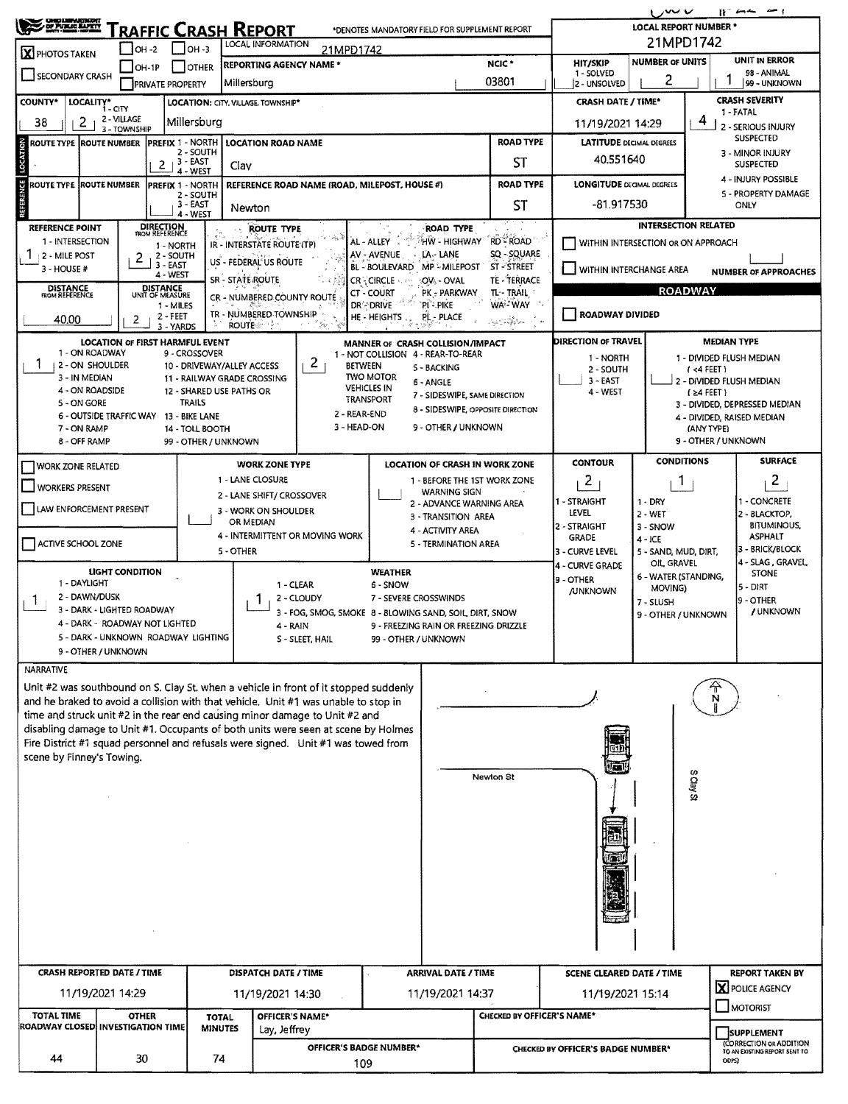|                                                                                                                                                                                                                                       |                                                                       |                                      |                                    |                                                   |                                                                                              |                                                                         |                                 |                                   |                                                                     | しんいい                                                                          |                                             | $\sim$<br>$B^-$ and $B^-$                    |  |  |
|---------------------------------------------------------------------------------------------------------------------------------------------------------------------------------------------------------------------------------------|-----------------------------------------------------------------------|--------------------------------------|------------------------------------|---------------------------------------------------|----------------------------------------------------------------------------------------------|-------------------------------------------------------------------------|---------------------------------|-----------------------------------|---------------------------------------------------------------------|-------------------------------------------------------------------------------|---------------------------------------------|----------------------------------------------|--|--|
| <b>CHIC LWPARTHZM</b><br>OF PURSE ELPETY<br><b>LOCAL REPORT NUMBER *</b><br>RAFFIC CRASH REPORT<br>بستد<br>*DENOTES MANDATORY FIELD FOR SUPPLEMENT REPORT<br>21MPD1742<br><b>LOCAL INFORMATION</b><br>$IOH - 3$<br>OH -2<br>21MPD1742 |                                                                       |                                      |                                    |                                                   |                                                                                              |                                                                         |                                 |                                   |                                                                     |                                                                               |                                             |                                              |  |  |
| X PHOTOS TAKEN                                                                                                                                                                                                                        |                                                                       |                                      |                                    | <b>REPORTING AGENCY NAME *</b>                    |                                                                                              |                                                                         |                                 | NCIC <sup>*</sup>                 | <b>HIT/SKIP</b>                                                     | <b>NUMBER OF UNITS</b>                                                        |                                             | UNIT IN ERROR                                |  |  |
| SECONDARY CRASH                                                                                                                                                                                                                       | OH-IP                                                                 | <b>IPRIVATE PROPERTY</b>             | <b>OTHER</b>                       | Millersburg                                       |                                                                                              |                                                                         |                                 | 03801                             | 1 - SOLVED<br>2 - UNSOLVED                                          | 2                                                                             |                                             | 98 - ANIMAL<br>99 - UNKNOWN                  |  |  |
| <b>COUNTY*</b>                                                                                                                                                                                                                        | LOCALITY* CITY                                                        |                                      |                                    | LOCATION: CITY, VILLAGE, TOWNSHIP*                |                                                                                              |                                                                         |                                 |                                   | <b>CRASH DATE / TIME*</b>                                           |                                                                               |                                             | <b>CRASH SEVERITY</b><br>1 - FATAL           |  |  |
| 2 - VILLAGE<br>2<br>Millersburg<br>38<br>11/19/2021 14:29<br>3 - TOWNSHIP                                                                                                                                                             |                                                                       |                                      |                                    |                                                   |                                                                                              |                                                                         |                                 |                                   |                                                                     |                                                                               | 4<br>2 - SERIOUS INJURY<br><b>SUSPECTED</b> |                                              |  |  |
| ROUTE TYPE ROUTE NUMBER                                                                                                                                                                                                               |                                                                       | <b>PREFIX 1 - NORTH</b>              | 2 - SOUTH                          | <b>LOCATION ROAD NAME</b>                         |                                                                                              | <b>ROAD TYPE</b>                                                        | <b>LATITUDE DECIMAL DEGREES</b> |                                   |                                                                     | 3 - MINOR INJURY                                                              |                                             |                                              |  |  |
| LOCATION                                                                                                                                                                                                                              |                                                                       | , 3 - EAST<br>2                      | 4 - WEST                           | Clav                                              |                                                                                              |                                                                         |                                 | ST                                | 40.551640                                                           | <b>SUSPECTED</b>                                                              |                                             |                                              |  |  |
| <b>REFERENCE</b><br><b>ROUTE TYPE ROUTE NUMBER</b>                                                                                                                                                                                    |                                                                       | <b>PREFIX 1 - NORTH</b>              | 2 - SOUTH                          |                                                   |                                                                                              | REFERENCE ROAD NAME (ROAD, MILEPOST, HOUSE #)                           |                                 | <b>ROAD TYPE</b>                  |                                                                     | 4 - INJURY POSSIBLE<br><b>LONGITUDE DEGMAL DEGRÉES</b><br>5 - PROPERTY DAMAGE |                                             |                                              |  |  |
|                                                                                                                                                                                                                                       |                                                                       |                                      | 3 - EAST<br>4 - WEST               | Newton                                            |                                                                                              |                                                                         |                                 | <b>ST</b>                         | -81.917530<br>ONLY                                                  |                                                                               |                                             |                                              |  |  |
| REFERENCE POINT                                                                                                                                                                                                                       |                                                                       | DIRECTION<br>ROM REFERENCE           |                                    | <b>ROUTE TYPE</b>                                 |                                                                                              | <b>ROAD TYPE</b>                                                        |                                 | <b>RD ROAD</b>                    |                                                                     |                                                                               | <b>INTERSECTION RELATED</b>                 |                                              |  |  |
| 1 - INTERSECTION<br>2 - MILE POST                                                                                                                                                                                                     | 2                                                                     | 1 - NORTH<br>2 - SOUTH               |                                    | IR - INTERSTATE ROUTE (TP)                        |                                                                                              | AL - ALLEY<br>AV - AVENUE<br>LA - LANE                                  | HŴ - HIGHWAY`                   | SQ - SQUARE                       | WITHIN INTERSECTION OR ON APPROACH                                  |                                                                               |                                             |                                              |  |  |
| $3 - HOUSE #$                                                                                                                                                                                                                         |                                                                       | 3 - EAST<br>4 - WEST                 |                                    | US - FEDERAL US ROUTE<br>SR - STATE ROUTE         |                                                                                              | <b>BL-BOULEVARD</b><br>MP - MILEPOST<br>CR - CIRCLE<br>:OV: - OVAL      |                                 | <b>ST-STREET</b><br>TE - TERRACE  | U WITHIN INTERCHANGE AREA                                           |                                                                               |                                             | <b>NUMBER OF APPROACHES</b>                  |  |  |
| <b>DISTANCE</b><br>ROM REFERENCE                                                                                                                                                                                                      |                                                                       | <b>DISTANCE</b><br>UNIT OF MEASURE   |                                    | <b>CR - NUMBERED COUNTY ROUTE</b>                 |                                                                                              | CT - COURT<br>PK  PARKWAY                                               |                                 | TL-TRAIL                          |                                                                     |                                                                               | <b>ROADWAY</b>                              |                                              |  |  |
| 40.00                                                                                                                                                                                                                                 | 2                                                                     | 1 - MILES<br>$2 - FEET$              |                                    | TR - NUMBERED-TOWNSHIP<br><b>ROUTE</b> And A      | " Sv                                                                                         | DR <sup>'</sup> -DRIVE<br>`PI`- PIKE<br><b>HE-HEIGHTS</b><br>PL - PLACE |                                 | WA-WAY<br>2010年12月                | ROADWAY DIVIDED                                                     |                                                                               |                                             |                                              |  |  |
|                                                                                                                                                                                                                                       | <b>LOCATION OF FIRST HARMFUL EVENT</b>                                | 3 - YARDS                            |                                    |                                                   |                                                                                              | MANNER OF CRASH COLLISION/IMPACT                                        |                                 |                                   | DIRECTION OF TRAVEL                                                 |                                                                               | <b>MEDIAN TYPE</b>                          |                                              |  |  |
| 1 - ON ROADWAY<br>2 - ON SHOULDER                                                                                                                                                                                                     |                                                                       |                                      | 9 - CROSSOVER                      | 10 - DRIVEWAY/ALLEY ACCESS                        | 2<br><b>BETWEEN</b>                                                                          | 1 - NOT COLLISION 4 - REAR-TO-REAR<br>5 - BACKING                       |                                 |                                   | 1 - NORTH                                                           |                                                                               | 1 - DIVIDED FLUSH MEDIAN                    |                                              |  |  |
| 3 - IN MEDIAN                                                                                                                                                                                                                         |                                                                       |                                      |                                    | 11 - RAILWAY GRADE CROSSING                       |                                                                                              | <b>TWO MOTOR</b><br>6 - ANGLE<br><b>VEHICLES IN</b>                     |                                 |                                   | 2 - SOUTH<br>$(4$ FEET)<br>$3 - EAST$<br>i 2 - Divided Flush Median |                                                                               |                                             |                                              |  |  |
| 4 - ON ROADSIDE<br>5 - ON GORE                                                                                                                                                                                                        |                                                                       |                                      | 12 - SHARED USE PATHS OR<br>TRAILS |                                                   |                                                                                              | 7 - SIDESWIPE, SAME DIRECTION<br>TRANSPORT                              |                                 |                                   | 4 - WEST                                                            |                                                                               | $(24$ FEET)                                 | 3 - DIVIDED, DEPRESSED MEDIAN                |  |  |
| 7 - ON RAMP                                                                                                                                                                                                                           | 6 - OUTSIDE TRAFFIC WAY 13 - BIKE LANE                                |                                      | 14 - TOLL BOOTH                    |                                                   | 2 - REAR-END<br>3 - HEAD-ON                                                                  | 9 - OTHER / UNKNOWN                                                     |                                 | 8 - SIDESWIPE, OPPOSITE DIRECTION |                                                                     |                                                                               | (ANY TYPE)                                  | 4 - DIVIDED, RAISED MEDIAN                   |  |  |
| 8 - OFF RAMP                                                                                                                                                                                                                          |                                                                       |                                      | 99 - OTHER / UNKNOWN               |                                                   |                                                                                              |                                                                         |                                 |                                   |                                                                     |                                                                               | 9 - OTHER / UNKNOWN                         |                                              |  |  |
| <b>WORK ZONE RELATED</b>                                                                                                                                                                                                              |                                                                       |                                      |                                    | <b>WORK ZONE TYPE</b>                             |                                                                                              | <b>LOCATION OF CRASH IN WORK ZONE</b>                                   |                                 |                                   | <b>CONTOUR</b>                                                      | <b>CONDITIONS</b>                                                             |                                             | <b>SURFACE</b>                               |  |  |
| <b>WORKERS PRESENT</b>                                                                                                                                                                                                                |                                                                       |                                      |                                    | 1 - LANE CLOSURE                                  |                                                                                              |                                                                         | <b>WARNING SIGN</b>             | 1 - BEFORE THE 1ST WORK ZONE      | $\mathbf{2}$                                                        | 1                                                                             |                                             | 2                                            |  |  |
| LAW ENFORCEMENT PRESENT                                                                                                                                                                                                               |                                                                       |                                      |                                    | 2 - LANE SHIFT/ CROSSOVER<br>3 - WORK ON SHOULDER |                                                                                              | 2 - ADVANCE WARNING AREA                                                |                                 | 1 - STRAIGHT<br>LEVEL             | $1 - DRY$<br>$2 - WET$                                              |                                                                               | - CONCRETE<br>2 - BLACKTOP,                 |                                              |  |  |
|                                                                                                                                                                                                                                       |                                                                       |                                      |                                    | OR MEDIAN                                         | 4 - INTERMITTENT OR MOVING WORK                                                              | 3 - TRANSITION AREA<br>4 - ACTIVITY AREA                                |                                 | 2 - STRAIGHT<br><b>GRADE</b>      | 3 - SNOW                                                            |                                                                               | <b>BITUMINOUS,</b><br><b>ASPHALT</b>        |                                              |  |  |
| ACTIVE SCHOOL ZONE                                                                                                                                                                                                                    |                                                                       |                                      |                                    | 5 - TERMINATION AREA<br>5 - OTHER                 |                                                                                              |                                                                         |                                 |                                   | 3 - CURVE LEVEL                                                     | $4 - ICE$<br>5 - SAND, MUD, DIRT,                                             |                                             | 3 - BRICK/BLOCK                              |  |  |
|                                                                                                                                                                                                                                       | LIGHT CONDITION                                                       |                                      |                                    |                                                   |                                                                                              | <b>WEATHER</b>                                                          |                                 |                                   | 4 - CURVE GRADE<br>9 - OTHER                                        | OIL GRAVEL<br>6 - WATER (STANDING,                                            |                                             | 4 - SLAG , GRAVEL,<br><b>STONE</b>           |  |  |
| 1 - DAYLIGHT<br>2 - DAWN/DUSK                                                                                                                                                                                                         |                                                                       |                                      |                                    | 1 - CLEAR                                         | 2 - CLOUDY                                                                                   | 6 - SNOW<br>7 - SEVERE CROSSWINDS                                       |                                 |                                   | <b>/UNKNOWN</b>                                                     | MOVING)<br>7 - SLUSH                                                          |                                             | 5 - DIRT<br>9 - OTHER                        |  |  |
|                                                                                                                                                                                                                                       | 3 - DARK - LIGHTED ROADWAY                                            |                                      |                                    |                                                   | 3 - FOG, SMOG, SMOKE 8 - BLOWING SAND, SOIL DIRT, SNOW                                       |                                                                         |                                 |                                   |                                                                     | 9 - OTHER / UNKNOWN                                                           |                                             | / UNKNOWN                                    |  |  |
|                                                                                                                                                                                                                                       | 4 - DARK - ROADWAY NOT LIGHTED<br>5 - DARK - UNKNOWN ROADWAY LIGHTING |                                      |                                    |                                                   | 4 - RAIN<br>9 - FREEZING RAIN OR FREEZING DRIZZLE<br>S - SLEET, HAIL<br>99 - OTHER / UNKNOWN |                                                                         |                                 |                                   |                                                                     |                                                                               |                                             |                                              |  |  |
|                                                                                                                                                                                                                                       | 9 - OTHER / UNKNOWN                                                   |                                      |                                    |                                                   |                                                                                              |                                                                         |                                 |                                   |                                                                     |                                                                               |                                             |                                              |  |  |
| <b>NARRATIVE</b><br>Unit #2 was southbound on S. Clay St. when a vehicle in front of it stopped suddenly                                                                                                                              |                                                                       |                                      |                                    |                                                   |                                                                                              |                                                                         |                                 |                                   |                                                                     |                                                                               |                                             |                                              |  |  |
| and he braked to avoid a collision with that vehicle. Unit #1 was unable to stop in                                                                                                                                                   |                                                                       |                                      |                                    |                                                   |                                                                                              |                                                                         |                                 |                                   |                                                                     |                                                                               |                                             |                                              |  |  |
| time and struck unit #2 in the rear end causing minor damage to Unit #2 and<br>disabling damage to Unit #1. Occupants of both units were seen at scene by Holmes                                                                      |                                                                       |                                      |                                    |                                                   |                                                                                              |                                                                         |                                 |                                   |                                                                     |                                                                               |                                             |                                              |  |  |
| Fire District #1 squad personnel and refusals were signed. Unit #1 was towed from                                                                                                                                                     |                                                                       |                                      |                                    |                                                   |                                                                                              |                                                                         |                                 |                                   |                                                                     |                                                                               |                                             |                                              |  |  |
| scene by Finney's Towing.                                                                                                                                                                                                             |                                                                       |                                      |                                    |                                                   |                                                                                              |                                                                         |                                 |                                   |                                                                     |                                                                               | ഗ                                           |                                              |  |  |
|                                                                                                                                                                                                                                       |                                                                       |                                      |                                    |                                                   |                                                                                              |                                                                         |                                 | Newton St                         |                                                                     |                                                                               | <b>Clay St</b>                              |                                              |  |  |
|                                                                                                                                                                                                                                       |                                                                       |                                      |                                    |                                                   |                                                                                              |                                                                         |                                 |                                   |                                                                     |                                                                               |                                             |                                              |  |  |
|                                                                                                                                                                                                                                       |                                                                       |                                      |                                    |                                                   |                                                                                              |                                                                         |                                 |                                   |                                                                     |                                                                               |                                             |                                              |  |  |
|                                                                                                                                                                                                                                       |                                                                       |                                      |                                    |                                                   |                                                                                              |                                                                         |                                 |                                   |                                                                     |                                                                               |                                             |                                              |  |  |
|                                                                                                                                                                                                                                       |                                                                       |                                      |                                    |                                                   |                                                                                              |                                                                         |                                 |                                   |                                                                     |                                                                               |                                             |                                              |  |  |
|                                                                                                                                                                                                                                       |                                                                       |                                      |                                    |                                                   |                                                                                              |                                                                         |                                 |                                   |                                                                     |                                                                               |                                             |                                              |  |  |
|                                                                                                                                                                                                                                       |                                                                       |                                      |                                    |                                                   |                                                                                              |                                                                         |                                 |                                   |                                                                     |                                                                               |                                             |                                              |  |  |
|                                                                                                                                                                                                                                       |                                                                       |                                      |                                    |                                                   |                                                                                              |                                                                         |                                 |                                   |                                                                     |                                                                               |                                             |                                              |  |  |
|                                                                                                                                                                                                                                       |                                                                       |                                      |                                    |                                                   |                                                                                              |                                                                         |                                 |                                   |                                                                     |                                                                               |                                             |                                              |  |  |
| <b>CRASH REPORTED DATE / TIME</b>                                                                                                                                                                                                     |                                                                       |                                      |                                    | DISPATCH DATE / TIME                              |                                                                                              | <b>ARRIVAL DATE / TIME</b>                                              |                                 |                                   | <b>SCENE CLEARED DATE / TIME</b>                                    |                                                                               |                                             | <b>REPORT TAKEN BY</b>                       |  |  |
|                                                                                                                                                                                                                                       | 11/19/2021 14:29                                                      |                                      |                                    | 11/19/2021 14:30                                  |                                                                                              | 11/19/2021 14:37                                                        |                                 |                                   | 11/19/2021 15:14                                                    |                                                                               |                                             | <b>X</b> POLICE AGENCY<br>MOTORIST           |  |  |
| <b>TOTAL TIME</b><br>ROADWAY CLOSED INVESTIGATION TIME                                                                                                                                                                                | <b>OTHER</b>                                                          |                                      | <b>TOTAL</b>                       | OFFICER'S NAME*                                   |                                                                                              |                                                                         |                                 | CHECKED BY OFFICER'S NAME*        |                                                                     |                                                                               |                                             |                                              |  |  |
|                                                                                                                                                                                                                                       |                                                                       |                                      | <b>MINUTES</b>                     | Lay, Jeffrey                                      |                                                                                              |                                                                         |                                 |                                   |                                                                     |                                                                               |                                             | <b>SUPPLEMENT</b><br>(CORRECTION OR ADDITION |  |  |
| 44                                                                                                                                                                                                                                    | 30                                                                    | OFFICER'S BADGE NUMBER*<br>74<br>109 |                                    |                                                   |                                                                                              |                                                                         |                                 |                                   | CHECKED BY OFFICER'S BADGE NUMBER*                                  |                                                                               |                                             | TO AN EXISTING REPORT SENT TO<br>ODPS)       |  |  |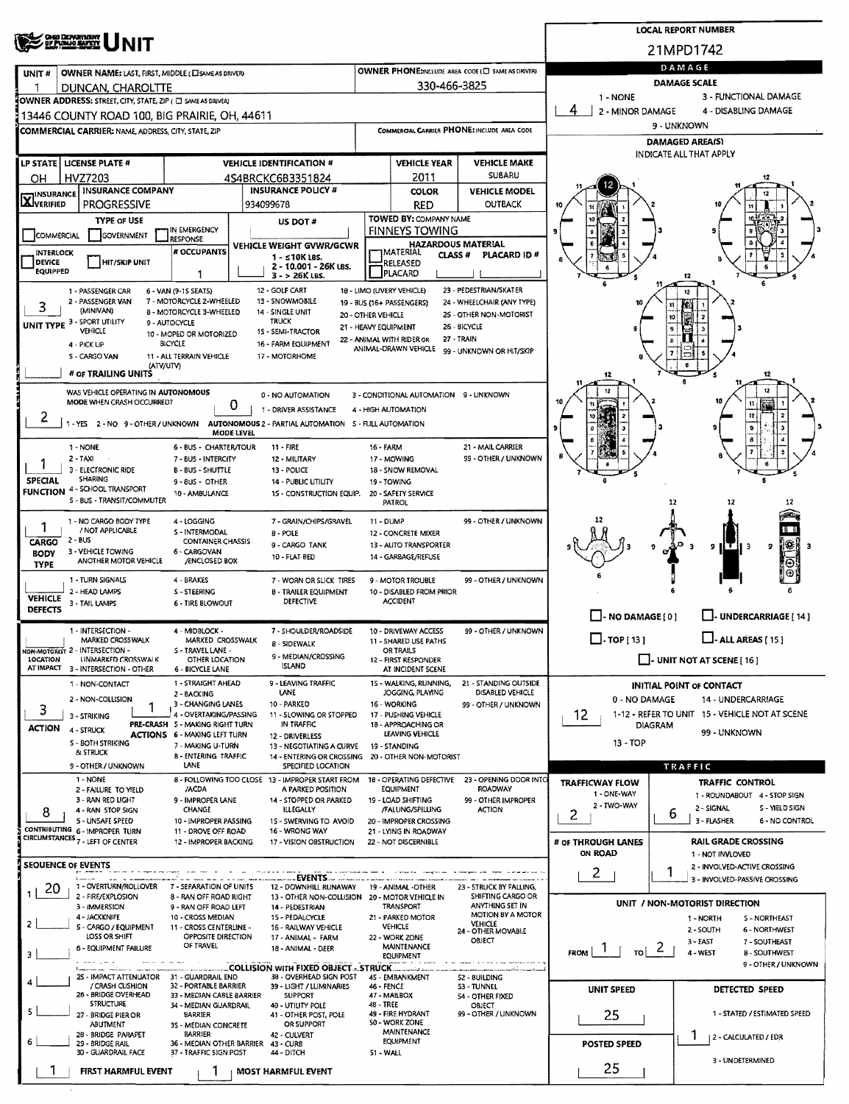|                                               |                                                                                                              |                                                                        |                                                                                                                                 |                      |                                                        |                                                                   |                                                          | <b>LOCAL REPORT NUMBER</b>                                     |  |  |  |  |
|-----------------------------------------------|--------------------------------------------------------------------------------------------------------------|------------------------------------------------------------------------|---------------------------------------------------------------------------------------------------------------------------------|----------------------|--------------------------------------------------------|-------------------------------------------------------------------|----------------------------------------------------------|----------------------------------------------------------------|--|--|--|--|
|                                               | <b>OHO DEPARTMENT</b><br>OF PUBLIC BATKY<br><b>NIT</b>                                                       |                                                                        |                                                                                                                                 |                      |                                                        |                                                                   |                                                          | 21MPD1742                                                      |  |  |  |  |
| UNIT#                                         | OWNER NAME: LAST, FIRST, MIDDLE (E) SAME AS DRIVERY                                                          |                                                                        |                                                                                                                                 |                      |                                                        | OWNER PHONE:INCLUDE AREA CODE (E) SAME AS DRIVERY                 | DAMAGE                                                   |                                                                |  |  |  |  |
|                                               | DUNCAN, CHAROLTTE                                                                                            |                                                                        |                                                                                                                                 |                      | 330-466-3825                                           |                                                                   | <b>DAMAGE SCALE</b><br>3 - FUNCTIONAL DAMAGE<br>1 - NONE |                                                                |  |  |  |  |
|                                               | OWNER ADDRESS: STREET, CITY, STATE, ZIP ( C SAME AS DRIVER)<br>13446 COUNTY ROAD 100, BIG PRAIRIE, OH, 44611 |                                                                        |                                                                                                                                 |                      |                                                        |                                                                   | 2 - MINOR DAMAGE                                         | 4 - DISABLING DAMAGE                                           |  |  |  |  |
|                                               | COMMERCIAL CARRIER: NAME, ADDRESS, CITY, STATE, ZIP                                                          |                                                                        |                                                                                                                                 |                      |                                                        | COMMERCIAL CARRIER PHONE: INCLUDE AREA CODE                       | 9 - UNKNOWN                                              |                                                                |  |  |  |  |
|                                               |                                                                                                              |                                                                        |                                                                                                                                 |                      |                                                        |                                                                   | <b>DAMAGED AREA(S)</b><br><b>INDICATE ALL THAT APPLY</b> |                                                                |  |  |  |  |
|                                               | LP STATE   LICENSE PLATE #                                                                                   |                                                                        | <b>VEHICLE IDENTIFICATION #</b>                                                                                                 |                      | <b>VEHICLE YEAR</b>                                    | <b>VEHICLE MAKE</b>                                               |                                                          |                                                                |  |  |  |  |
| OН                                            | HVZ7203<br><b>INSURANCE COMPANY</b>                                                                          |                                                                        | 4S4BRCKC6B3351824<br><b>INSURANCE POLICY #</b>                                                                                  |                      | 2011<br><b>COLOR</b>                                   | <b>SUBARU</b><br><b>VEHICLE MODEL</b>                             |                                                          |                                                                |  |  |  |  |
| <b>X</b> INSURANCE                            | <b>PROGRESSIVE</b>                                                                                           |                                                                        | 934099678                                                                                                                       |                      | <b>RED</b>                                             | <b>OUTBACK</b>                                                    |                                                          |                                                                |  |  |  |  |
|                                               | <b>TYPE OF USE</b>                                                                                           | IN EMERGENCY                                                           | US DOT #                                                                                                                        |                      | <b>TOWED BY: COMPANY NAME</b><br><b>FINNEYS TOWING</b> |                                                                   |                                                          |                                                                |  |  |  |  |
| COMMERCIAL                                    | GOVERNMENT                                                                                                   | <b>RESPONSE</b><br># OCCUPANTS                                         | VEHICLE WEIGHT GVWR/GCWR                                                                                                        |                      | HAZARDOUS MATERIAL                                     |                                                                   |                                                          |                                                                |  |  |  |  |
| <b>INTERLOCK</b><br>DEVICE<br><b>EQUIPPED</b> | HIT/SKIP UNIT                                                                                                |                                                                        | $1 - 510K$ LBS.<br>2 - 10.001 - 26K LBS.<br>$3 - 26K$ LBS.                                                                      |                      | CLASS#<br>RELEASED<br><b>PLACARD</b>                   | PLACARD ID#                                                       |                                                          | 12                                                             |  |  |  |  |
|                                               | 1 - PASSENGER CAR<br>2 - PASSENGER VAN                                                                       | 6 - VAN (9-1S SEATS)<br>7 - MOTORCYCLE 2-WHEELED                       | 12 - GOLF CART<br>13 - SNOWMOBILE                                                                                               |                      | 18 - LIMO (UVERY VEHICLE)                              | 23 - PEDESTRIAN/SKATER<br>24 - WHEELCHAIR (ANY TYPE)              |                                                          | 12                                                             |  |  |  |  |
| 3                                             | (MINIVAN)                                                                                                    | 8 - MOTORCYCLE 3-WHEELED                                               | 14 - SINGLE UNIT<br><b>TRUCK</b>                                                                                                | 20 - OTHER VEHICLE   | 19 - BUS (16+ PASSENGERS)                              | 25 - OTHER NON-MOTORIST                                           |                                                          | n<br>10                                                        |  |  |  |  |
|                                               | UNIT TYPE 3 - SPORT UTILITY<br><b>VEHICLE</b>                                                                | 9 - AUTOCYCLE<br>10 - MOPED OR MOTORIZED                               | 15 - SEMI-TRACTOR                                                                                                               | 21 - HEAVY EQUIPMENT | 22 - ANIMAL WITH RIDER OR                              | 26 - BICYCLE<br>27 - TRAIN                                        |                                                          |                                                                |  |  |  |  |
|                                               | 4 - PICK UP<br>S - CARGO VAN                                                                                 | BICYCLE<br>11 - ALL TERRAIN VEHICLE                                    | 16 - FARM EQUIPMENT<br>17 - MOTORHOME                                                                                           |                      | ANIMAL-DRAWN VEHICLE                                   | 99 - UNKNOWN OR HIT/SKIP                                          |                                                          |                                                                |  |  |  |  |
|                                               | # OF TRAILING UNITS                                                                                          | (ATV/UTV)                                                              |                                                                                                                                 |                      |                                                        |                                                                   | 12                                                       |                                                                |  |  |  |  |
|                                               | WAS VEHICLE OPERATING IN AUTONOMOUS<br>MODE WHEN CRASH OCCURRED?                                             |                                                                        | 0 - NO AUTOMATION<br>O                                                                                                          |                      | 3 - CONDITIONAL AUTOMATION 9 - UNKNOWN                 |                                                                   |                                                          |                                                                |  |  |  |  |
| z                                             |                                                                                                              |                                                                        | 1 - DRIVER ASSISTANCE<br>1 - YES 2 - NO 9 - OTHER / UNKNOWN AUTONOMOUS 2 - PARTIAL AUTOMATION 5 - FULL AUTOMATION<br>MODE LEVEL |                      | 4 - HIGH AUTOMATION                                    |                                                                   |                                                          |                                                                |  |  |  |  |
|                                               | $1 - NONE$                                                                                                   | 6 - BUS - CHARTER/TOUR                                                 | $11 - FIRE$                                                                                                                     | <b>16 - FARM</b>     |                                                        | 21 - MAIL CARRIER                                                 |                                                          |                                                                |  |  |  |  |
|                                               | $2 - TAXI$<br>3 - ELECTRONIC RIDE                                                                            | 7 - BUS - INTERCITY<br><b>B-BUS-SHUTTLE</b>                            | 12 - MILITARY<br>13 - POLICE                                                                                                    |                      | 17 - MOWING<br>18 - SNOW REMOVAL                       | 99 - OTHER / UNKNOWN                                              |                                                          |                                                                |  |  |  |  |
| SPECIAL<br><b>FUNCTION</b>                    | SHARING<br>4 - SCHOOL TRANSPORT                                                                              | 9 - 8US - OTHER<br>10 - AMBULANCE                                      | 14 - PUBLIC UTILITY<br>15 - CONSTRUCTION EQUIP.                                                                                 |                      | 19 - TOWING<br>20 - SAFETY SERVICE                     |                                                                   |                                                          |                                                                |  |  |  |  |
|                                               | S - BUS - TRANSIT/COMMUTER                                                                                   |                                                                        |                                                                                                                                 |                      | PATROL                                                 |                                                                   |                                                          | 12<br>12<br>12                                                 |  |  |  |  |
| 1                                             | 1 - NO CARGO BODY TYPE<br>/ NOT APPLICABLE                                                                   | 4 - LOGGING<br>S - INTERMODAL                                          | 7 - GRAIN/CHIPS/GRAVEL                                                                                                          | 11 - DUMP            |                                                        | 99 - OTHER / UNKNOWN                                              |                                                          |                                                                |  |  |  |  |
| CARGO                                         | 2 - BUS                                                                                                      | <b>CONTAINER CHASSIS</b>                                               | 8 - POLE<br>9 - CARGO TANK                                                                                                      |                      | 12 - CONCRETE MIXER<br>13 - AUTO TRANSPORTER           |                                                                   |                                                          | il SS<br>9<br>  T  <br>9<br>-3<br>-3                           |  |  |  |  |
| <b>BODY</b><br><b>TYPE</b>                    | 3 - VEHICLE TOWING<br>ANOTHER MOTOR VEHICLE                                                                  | 6 - CARGOVAN<br>/ENCLOSED BOX                                          | 10 - FLAT BED                                                                                                                   |                      | 14 GARBAGE/REFUSE                                      |                                                                   |                                                          |                                                                |  |  |  |  |
|                                               | 1 - TURN SIGNALS                                                                                             | 4 - BRAKES                                                             | 7 - WORN OR SLICK TIRES                                                                                                         |                      | 9 - MOTOR TROUBLE                                      | 99 - OTHER / UNKNOWN                                              |                                                          |                                                                |  |  |  |  |
| <b>VEHICLE</b>                                | 2 - HEAD LAMPS<br>3 - TAIL LAMPS                                                                             | S - STEERING<br><b>6 - TIRE BLOWOUT</b>                                | <b>B - TRAILER EQUIPMENT</b><br>DEFECTIVE                                                                                       |                      | 10 - DISABLED FROM PRIOR<br><b>ACCIDENT</b>            |                                                                   |                                                          |                                                                |  |  |  |  |
| <b>DEFECTS</b>                                |                                                                                                              |                                                                        |                                                                                                                                 |                      |                                                        |                                                                   | $\Box$ - NO DAMAGE [0]                                   | L. UNDERCARRIAGE [ 14 ]                                        |  |  |  |  |
|                                               | 1 - INTERSECTION -<br>MARKED CROSSWALK                                                                       | 4 - MIDBLOCK -<br>MARKED CROSSWALK                                     | 7 - SHOULDER/ROADSIDE<br>8 - SIDEWALK                                                                                           |                      | 10 - DRIVEWAY ACCESS<br>11 - SHARED USE PATHS          | 99 - OTHER / UNKNOWN                                              | $\Box$ -TOP[13]                                          | $L$ - ALL AREAS (15)                                           |  |  |  |  |
| <b>LOCATION</b>                               | NON-MOTORIST 2 - INTERSECTION -<br>UNMARKED CROSSWALK                                                        | S - TRAVEL LANE -<br>OTHER LOCATION                                    | 9 - MEDIAN/CROSSING                                                                                                             |                      | OR TRAILS<br>12 - FIRST RESPONDER                      |                                                                   |                                                          | $\Box$ - UNIT NOT AT SCENE [ 16 ]                              |  |  |  |  |
|                                               | AT IMPACT 3 - INTERSECTION - OTHER                                                                           | 6 - BICYCLE LANE                                                       | <b>ISLAND</b><br>9 - LEAVING TRAFFIC                                                                                            |                      | AT INCIDENT SCENE<br>15 - WALKING, RUNNING,            |                                                                   |                                                          |                                                                |  |  |  |  |
|                                               | 1 - NON-CONTACT<br>2 - NON-COLLISION                                                                         | 1 - STRAIGHT AHEAD<br>2 - BACKING                                      | LANE                                                                                                                            |                      | JOGGING, PLAYING                                       | 21 - STANDING OUTSIDE<br>DISABLED VEHICLE                         | 0 - NO DAMAGE                                            | <b>INITIAL POINT OF CONTACT</b><br>14 - UNDERCARRIAGE          |  |  |  |  |
| 3                                             | 3 - STRIKING                                                                                                 | 3 - CHANGING LANES<br>4 - OVERTAKING/PASSING                           | 10 - PARKED<br>11 - SLOWING OR STOPPED                                                                                          |                      | 16 - WORKING<br>17 - PUSHING VEHICLE                   | 99 - OTHER / UNKNOWN                                              | 12                                                       | 1-12 - REFER TO UNIT 15 - VEHICLE NOT AT SCENE                 |  |  |  |  |
| <b>ACTION</b>                                 | 4 - STRUCK                                                                                                   | PRE-CRASH 5 - MAKING RIGHT TURN<br><b>ACTIONS 6 - MAKING LEFT TURN</b> | IN TRAFFIC<br>12 - DRIVERLESS                                                                                                   |                      | 18 - APPROACHING OR<br>LEAVING VEHICLE                 |                                                                   |                                                          | DIAGRAM<br>99 - UNKNOWN                                        |  |  |  |  |
|                                               | S - BOTH STRIKING<br>& STRUCK                                                                                | 7 - MAKING U-TURN<br><b>B - ENTERING TRAFFIC</b>                       | 13 - NEGOTIATING A CURVE<br>14 - ENTERING OR CROSSING                                                                           |                      | 19 - STANDING<br>20 - OTHER NON-MOTORIST               |                                                                   | 13 - TOP                                                 |                                                                |  |  |  |  |
|                                               | 9 - OTHER / UNKNOWN                                                                                          | LANE                                                                   | SPECIFIED LOCATION                                                                                                              |                      |                                                        |                                                                   |                                                          | TRAFFIC                                                        |  |  |  |  |
|                                               | 1 - NONE<br>2 - FAILURE TO YIELD                                                                             | /ACDA                                                                  | 8 - FOLLOWING TOO CLOSE 13 - IMPROPER START FROM<br>A PARKED POSITION                                                           |                      | <b>EQUIPMENT</b>                                       | 18 - OPERATING DEFECTIVE 23 - OPENING DOOR INTO<br><b>ROADWAY</b> | <b>TRAFFICWAY FLOW</b><br>1 - ONE-WAY                    | <b>TRAFFIC CONTROL</b><br>1 - ROUNDABOUT 4 - STOP SIGN         |  |  |  |  |
| 8                                             | 3 - RAN RED LIGHT<br>4 - RAN STOP SIGN                                                                       | 9 - IMPROPER LANE<br>CHANGE                                            | 14 - STOPPED OR PARKED<br><b>ILLEGALLY</b>                                                                                      |                      | 19 - LOAD SHIFTING<br>/FALUNG/SPILLING                 | 99 - OTHER IMPROPER<br><b>ACTION</b>                              | 2 - TWO-WAY<br>2                                         | 2 - SIGNAL<br>S - MELD SIGN<br>ь                               |  |  |  |  |
|                                               | 5 - UNSAFE SPEED<br>CONTRIBUTING 6 - IMPROPER TURN                                                           | 10 - IMPROPER PASSING<br>11 - DROVE OFF ROAD                           | 1S - SWERVING TO AVOID<br>16 - WRONG WAY                                                                                        |                      | 20 - IMPROPER CROSSING<br>21 - LYING IN ROADWAY        |                                                                   |                                                          | 3 - FLASHER<br>6 - NO CONTROL                                  |  |  |  |  |
|                                               | CIRCUMSTANCES <sub>7</sub> - LEFT OF CENTER                                                                  | 12 - IMPROPER BACKING                                                  | 17 - VISION OBSTRUCTION                                                                                                         |                      | 22 - NOT DISCERNIBLE                                   |                                                                   | # OF THROUGH LANES<br>ON ROAD                            | <b>RAIL GRADE CROSSING</b><br>1 - NOT INVLOVED                 |  |  |  |  |
|                                               | <b>SEOUENCE OF EVENTS</b>                                                                                    |                                                                        |                                                                                                                                 |                      | consigner on the consigner less.                       |                                                                   |                                                          | 2 - INVOLVED-ACTIVE CROSSING                                   |  |  |  |  |
| 20                                            | <b>Luneaux</b><br>1 - OVERTURN/ROLLOVER                                                                      | 7 - SEPARATION OF UNITS                                                | 12 - DOWNHILL RUNAWAY                                                                                                           |                      | 19 - ANIMAL -OTHER                                     | 23 - 5TRUCK BY FALLING,                                           | $\mathbf{2}$                                             | 3 - INVOLVED-PASSIVE CROSSING                                  |  |  |  |  |
|                                               | 2 - FIRE/EXPLOSION<br>3 - IMMERSION                                                                          | 8 - RAN OFF ROAD RIGHT<br>9 - RAN OFF ROAD LEFT                        | 13 - OTHER NON-COLLISION 20 - MOTOR VEHICLE IN<br>14 - PEDESTRIAN                                                               |                      | TRANSPORT                                              | SHIFTING CARGO OR<br>ANYTHING SET IN                              |                                                          | UNIT / NON-MOTORIST DIRECTION                                  |  |  |  |  |
| 2                                             | 4 - JACKKNIFE<br>S - CARGO / EQUIPMENT                                                                       | 10 - CROSS MEDIAN<br>11 - CROSS CENTERUNE -                            | 15 - PEDALCYCLE<br>16 - RAILWAY VEHICLE                                                                                         |                      | 21 - PARKED MOTOR<br><b>VEHICLE</b>                    | MOTION BY A MOTOR<br>VEHICLE                                      |                                                          | 1 - NORTH<br><b>S-NORTHEAST</b>                                |  |  |  |  |
|                                               | LOSS OR SHIFT                                                                                                | OPPOSITE DIRECTION<br>OF TRAVEL                                        | 17 - ANIMAL - FARM                                                                                                              |                      | 22 - WORK ZONE<br>MAINTENANCE                          | 24 - OTHER MOVABLE<br>OBJECT                                      |                                                          | 2 - SOUTH<br><b>6 - NORTHWEST</b><br>3 - EAST<br>7 - SOUTHEAST |  |  |  |  |
| з                                             | 6 - EQUIPMENT FAILURE                                                                                        |                                                                        | 18 - ANIMAL - DEER<br>COLLISION WITH FIXED OBJECT - STRUCK                                                                      |                      | <b>EQUIPMENT</b>                                       |                                                                   | $\vert$ 70 $\vert$ 2<br>$FROM$ $1$                       | 4 - WEST<br>8 - SOUTHWEST<br>9 - OTHER / UNKNOWN               |  |  |  |  |
|                                               | 2S - IMPACT ATTENUATOR 31 - GUARDRAIL END<br>/ CRASH CUSHION                                                 | 32 - PORTABLE BARRIER                                                  | 38 - OVERHEAD SIGN POST<br>39 - LIGHT / LUMINARIES                                                                              | 46 - FENCE           | 45 - EMBANKMENT                                        | S2 - BUILDING<br><b>S3 - TUNNEL</b>                               |                                                          |                                                                |  |  |  |  |
|                                               | 26 - BRIDGE OVERHEAD<br><b>STRUCTURE</b>                                                                     | 33 - MEDIAN CABLE BARRIER<br>34 - MEDIAN GUARDRAIL                     | <b>SUPPORT</b><br>40 - UTILITY POLE                                                                                             | 48 - TREE            | 47 - MAILBOX                                           | 54 - OTHER FIXED<br>OBJECT                                        | <b>UNIT SPEED</b>                                        | DETECTED SPEED                                                 |  |  |  |  |
| 5                                             | 27 - BRIDGE PIER OR<br>ABUTMENT                                                                              | <b>BARRIER</b><br>35 - MEDIAN CONCRETE                                 | 41 - OTHER POST, POLE<br>OR SUPPORT                                                                                             |                      | 49 - FIRE HYDRANT<br>50 - WORK ZONE                    | 99 - OTHER / UNKNOWN                                              | 25                                                       | 1 - STATED / ESTIMATED SPEED                                   |  |  |  |  |
|                                               | 28 - BRIDGE PARAPET<br>29 - BRIDGE RAIL                                                                      | <b>BARRIER</b>                                                         | 42 - CULVERT<br>36 - MEDIAN OTHER BARRIER 43 - CURB                                                                             |                      | MAINTENANCE<br><b>EQUIPMENT</b>                        |                                                                   | POSTED SPEED                                             | 1<br>  2 - CALCULATED / EDR                                    |  |  |  |  |
|                                               | 30 - GUARDRAIL FACE                                                                                          | 37 - TRAFFIC SIGN POST                                                 | 44 - DITCH                                                                                                                      | S1 - WALL            |                                                        |                                                                   |                                                          | 3 - UNDETERMINED                                               |  |  |  |  |
|                                               | <b>FIRST HARMFUL EVENT</b>                                                                                   |                                                                        | <b>MOST HARMFUL EVENT</b>                                                                                                       |                      |                                                        |                                                                   | 25                                                       |                                                                |  |  |  |  |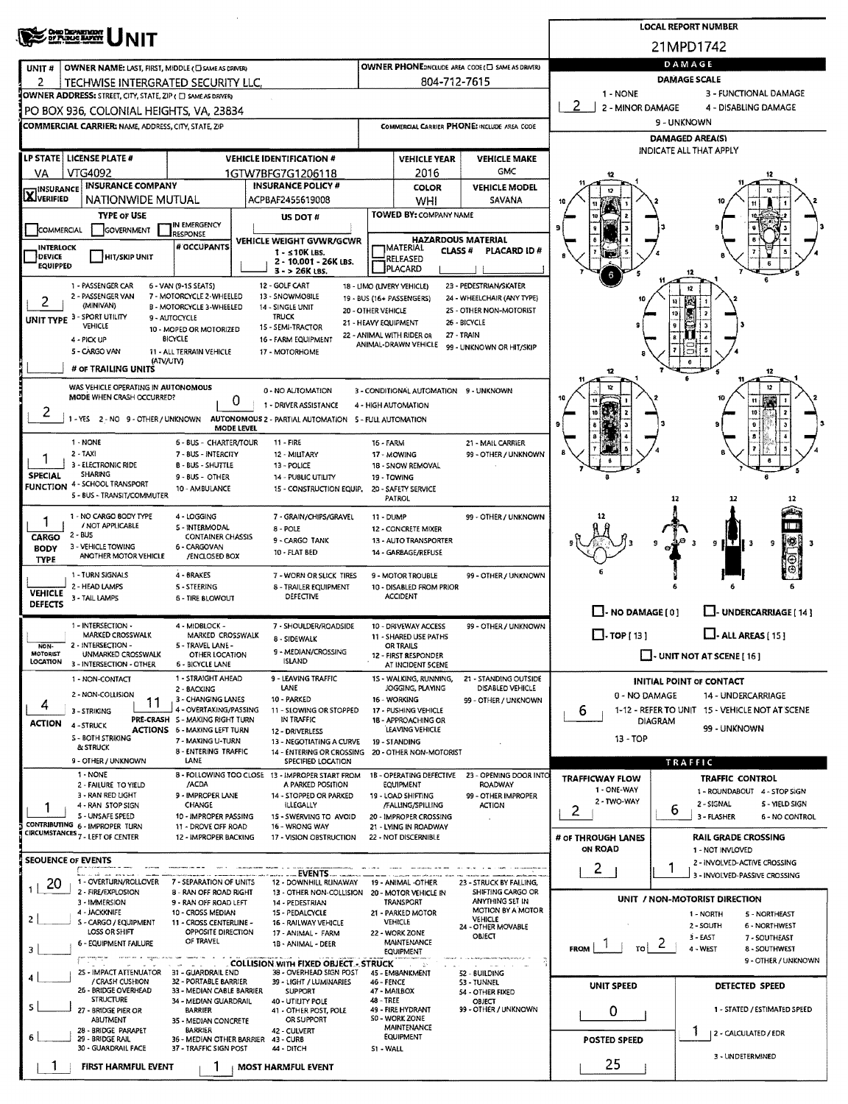|                                  | <b>OHO DEPARTMENT</b><br>DY PUBLIC BAFETY                                                             |                                                                        |                                                                                |                                                         |                                                   |                                                                                                       |                                 | <b>LOCAL REPORT NUMBER</b>                                   |  |  |  |  |
|----------------------------------|-------------------------------------------------------------------------------------------------------|------------------------------------------------------------------------|--------------------------------------------------------------------------------|---------------------------------------------------------|---------------------------------------------------|-------------------------------------------------------------------------------------------------------|---------------------------------|--------------------------------------------------------------|--|--|--|--|
|                                  |                                                                                                       |                                                                        |                                                                                |                                                         |                                                   |                                                                                                       |                                 | 21MPD1742                                                    |  |  |  |  |
| UNIT#                            | OWNER NAME: LAST, FIRST, MIDDLE (C) SAME AS DRIVER)                                                   |                                                                        |                                                                                |                                                         |                                                   | OWNER PHONE: INCLUDE AREA CODE (E) SAME AS DRIVER)                                                    |                                 | DAMAGE                                                       |  |  |  |  |
| 2                                | TECHWISE INTERGRATED SECURITY LLC.                                                                    |                                                                        |                                                                                |                                                         | 804-712-7615                                      |                                                                                                       | DAMAGE SCALE                    |                                                              |  |  |  |  |
|                                  | OWNER ADDRESS: STREET, CITY, STATE, ZIP ( [ ] SAME AS DRIVER)                                         |                                                                        |                                                                                |                                                         |                                                   |                                                                                                       | 1 NONE<br>2<br>2 - MINOR DAMAGE | 3 - FUNCTIONAL DAMAGE<br>4 - DISABLING DAMAGE                |  |  |  |  |
|                                  | PO BOX 936, COLONIAL HEIGHTS, VA, 23834<br><b>COMMERCIAL CARRIER: NAME, ADDRESS, CITY, STATE, ZIP</b> |                                                                        |                                                                                |                                                         |                                                   | COMMERCIAL CARRIER PHONE: INCLUDE AREA CODE                                                           |                                 | 9 - UNKNOWN                                                  |  |  |  |  |
|                                  |                                                                                                       |                                                                        |                                                                                |                                                         |                                                   |                                                                                                       |                                 | <b>DAMAGED AREA(S)</b>                                       |  |  |  |  |
|                                  | LP STATE   LICENSE PLATE #                                                                            |                                                                        | <b>VEHICLE IDENTIFICATION #</b>                                                |                                                         | <b>VEHICLE YEAR</b>                               | <b>VEHICLE MAKE</b>                                                                                   |                                 | INDICATE ALL THAT APPLY                                      |  |  |  |  |
| VA.                              | VTG4092                                                                                               |                                                                        | 1GTW7BFG7G1206118                                                              |                                                         | 2016                                              | <b>GMC</b>                                                                                            |                                 |                                                              |  |  |  |  |
| <b>X</b> INSURANCE               | <b>INSURANCE COMPANY</b><br>NATIONWIDE MUTUAL                                                         |                                                                        | <b>INSURANCE POLICY #</b>                                                      |                                                         | <b>COLOR</b>                                      | <b>VEHICLE MODEL</b>                                                                                  |                                 |                                                              |  |  |  |  |
|                                  | <b>TYPE OF USE</b>                                                                                    |                                                                        | ACPBAF2455619008<br>US DOT #                                                   |                                                         | WHI<br>TOWED BY: COMPANY NAME                     | SAVANA                                                                                                |                                 |                                                              |  |  |  |  |
| COMMERCIAL                       | GOVERNMENT                                                                                            | IN EMERGENCY<br><b>RESPONSE</b>                                        |                                                                                |                                                         |                                                   |                                                                                                       |                                 |                                                              |  |  |  |  |
| INTERLOCK                        |                                                                                                       | # OCCUPANTS                                                            | <b>VEHICLE WEIGHT GVWR/GCWR</b><br>$1 - 510K$ LBS.                             |                                                         | <b>"I</b> MATERIAL<br><b>CLASS #</b>              | <b>HAZARDOUS MATERIAL</b><br><b>PLACARD ID#</b>                                                       |                                 |                                                              |  |  |  |  |
| DEVICE<br><b>EQUIPPED</b>        | <b>HIT/SKIP UNIT</b>                                                                                  |                                                                        | 2 - 10.001 - 26K LBS.<br>$3 - 26K$ LBS.                                        |                                                         | RELEASED<br><b>PLACARD</b>                        |                                                                                                       |                                 |                                                              |  |  |  |  |
|                                  | 1 - PASSENGER CAR                                                                                     | 6 - VAN (9-15 SEATS)                                                   | 12 - GOLF CART                                                                 |                                                         | 18 - LIMO (LIVERY VEHICLE)                        | 23 - PEDESTRIAN/SKATER                                                                                |                                 |                                                              |  |  |  |  |
| 2                                | 2 - PASSENGER VAN<br>(MINIVAN)                                                                        | 7 - MOTORCYCLE 2-WHEELED<br><b>B - MOTORCYCLE 3-WHEELED</b>            | 13 - SNOWMO8ILE<br>14 - SINGLE UNIT                                            |                                                         | 19 - BUS (16+ PASSENGERS)                         | 24 - WHEELCHAIR (ANY TYPE)                                                                            |                                 | 165                                                          |  |  |  |  |
|                                  | UNIT TYPE 3 - SPORT UTILITY<br>VEHICLE                                                                | 9 - AUTOCYCLE                                                          | TRUCK<br>15 - SEMI-TRACTOR                                                     | 20 - OTHER VEHICLE<br>21 - HEAVY EQUIPMENT              |                                                   | 25 - OTHER NON-MOTORIST<br>26 - BICYCLE                                                               |                                 | 10                                                           |  |  |  |  |
|                                  | 4 - PICK UP                                                                                           | 10 - MOPED OR MOTORIZED<br><b>BICYCLE</b>                              | 16 - FARM EQUIPMENT                                                            |                                                         | 22 - ANIMAL WITH RIDER OR<br>ANIMAL-DRAWN VEHICLE | 27 - TRAIN                                                                                            |                                 |                                                              |  |  |  |  |
|                                  | 5 - CARGO VAN<br>(ATV/UTV)                                                                            | 11 - ALL TERRAIN VEHICLE                                               | 17 - MOTORHOME                                                                 |                                                         |                                                   | 99 - UNKNOWN OR HIT/SKIP                                                                              |                                 |                                                              |  |  |  |  |
|                                  | # OF TRAILING UNITS                                                                                   |                                                                        |                                                                                |                                                         |                                                   |                                                                                                       | 12                              | 12                                                           |  |  |  |  |
|                                  | WAS VEHICLE OPERATING IN AUTONOMOUS<br>MODE WHEN CRASH OCCURRED?                                      |                                                                        | 0 - NO AUTOMATION<br>0                                                         |                                                         | 3 - CONDITIONAL AUTOMATION 9 - UNKNOWN            |                                                                                                       |                                 | π                                                            |  |  |  |  |
| 2                                | 1 - YES 2 - NO 9 - OTHER / UNKNOWN                                                                    |                                                                        | 1 - DRIVER ASSISTANCE<br>AUTONOMOUS 2 - PARTIAL AUTOMATION 5 - FULL AUTOMATION |                                                         | 4 - HIGH AUTOMATION                               |                                                                                                       |                                 | 10                                                           |  |  |  |  |
|                                  |                                                                                                       |                                                                        | <b>MODE LEVEL</b>                                                              |                                                         |                                                   |                                                                                                       |                                 |                                                              |  |  |  |  |
|                                  | 1 - NONE<br>$2 - TAXI$                                                                                | 6 - BUS - CHARTER/TOUR<br>7 - BUS - INTERCITY                          | 11 - FIRE<br>12 - MILITARY                                                     | 16 - FARM                                               | 17 - MOWING                                       | 21 - MAIL CARRIER<br>99 - OTHER / UNKNOWN                                                             |                                 |                                                              |  |  |  |  |
| <b>SPECIAL</b>                   | 3 - ELECTRONIC RIDE<br>SHARING                                                                        | <b>B-BUS-SHUTTLE</b>                                                   | 13 - POLICE                                                                    | 18 - SNOW REMOVAL                                       |                                                   |                                                                                                       |                                 |                                                              |  |  |  |  |
| <b>FUNCTION</b>                  | 4 - SCHOOL TRANSPORT                                                                                  | $9 - BUS - OTHER$<br>10 - AMBULANCE                                    | <b>14 - PUBLIC UTILITY</b><br>15 - CONSTRUCTION EQUIP.                         |                                                         | 19 - TOWING<br>20 - SAFETY SERVICE                |                                                                                                       |                                 |                                                              |  |  |  |  |
|                                  | 5 - BUS - TRANSIT/COMMUTER                                                                            |                                                                        |                                                                                |                                                         | PATROL                                            |                                                                                                       |                                 | 12                                                           |  |  |  |  |
|                                  | 1 - NO CARGO BODY TYPE<br>/ NOT APPLICABLE                                                            | 4 - LOGGING<br><b>S-INTERMODAL</b>                                     | 7 - GRAIN/CHIPS/GRAVEL<br>8 - POLE                                             | 11 - DUMP                                               | 12 - CONCRETE MIXER                               | 99 - OTHER / UNKNOWN                                                                                  |                                 |                                                              |  |  |  |  |
| CARGO<br><b>BODY</b>             | $2 - BUS$<br>3 - VEHICLE TOWING                                                                       | <b>CONTAINER CHASSIS</b><br>6 - CARGOVAN                               | 9 - CARGO TANK                                                                 |                                                         | 13 - AUTO TRANSPORTER                             |                                                                                                       |                                 | (第)<br>9<br>э<br>-3                                          |  |  |  |  |
| <b>TYPE</b>                      | ANOTHER MOTOR VEHICLE                                                                                 | /ENCLOSED BOX                                                          | 10 - FLAT BED                                                                  |                                                         | 14 - GARBAGE/REFUSE                               |                                                                                                       |                                 |                                                              |  |  |  |  |
|                                  | 1 - TURN SIGNALS                                                                                      | 4 - BRAKES                                                             | 7 - WORN OR SLICK TIRES                                                        |                                                         | 9 - MOTOR TROUBLE                                 | 99 - OTHER / UNKNOWN                                                                                  |                                 |                                                              |  |  |  |  |
| <b>VEHICLE</b><br><b>DEFECTS</b> | 2 - HEAD LAMPS<br>3 - TAIL LAMPS                                                                      | 5 - STEERING<br><b>6 - TIRE BLOWOUT</b>                                | 8 - TRAILER EQUIPMENT<br>DEFECTIVE                                             |                                                         | 10 - DISABLED FROM PRIOR<br><b>ACCIDENT</b>       |                                                                                                       |                                 |                                                              |  |  |  |  |
|                                  |                                                                                                       |                                                                        |                                                                                |                                                         |                                                   |                                                                                                       | $\Box$ - NO DAMAGE [0]          | UNDERCARRIAGE [ 14 ]                                         |  |  |  |  |
|                                  | 1 - INTERSECTION -<br>MARKED CROSSWALK                                                                | 4 - MIDBLOCK -<br>MARKED CROSSWALK                                     | 7 - SHOULDER/ROADSIDE<br>8 - SIDEWALK                                          |                                                         | 10 - DRIVEWAY ACCESS<br>11 - SHARED USE PATHS     | 99 - OTHER / UNKNOWN                                                                                  | $\Box$ - TOP [ 13 ]             | $\Box$ - ALL AREAS [ 15 ]                                    |  |  |  |  |
| NON-<br>MOTORIST                 | 2 - INTERSECTION -<br>UNMARKED CROSSWALK                                                              | 5 - TRAVEL LANE -<br>OTHER LOCATION                                    | 9 - MEDIAN/CROSSING                                                            |                                                         | OR TRAILS<br>12 - FIRST RESPONDER                 |                                                                                                       | <b>UNIT NOT AT SCENE</b> [16]   |                                                              |  |  |  |  |
| LOCATION                         | 3 - INTERSECTION - OTHER                                                                              | <b>6 - BICYCLE LANE</b>                                                | <b>ISLAND</b>                                                                  |                                                         | AT INCIDENT 5CENE                                 |                                                                                                       |                                 |                                                              |  |  |  |  |
|                                  | 1 - NON-CONTACT<br>2 - NON-COLLISION                                                                  | 1 - STRAIGHT AHEAD<br>2 - BACKING                                      | 9 - LEAVING TRAFFIC<br>LANE                                                    |                                                         | 15 - WALKING, RUNNING,<br>JOGGING, PLAYING        | 21 - STANDING OUTSIDE<br>DISABLED VEHICLE                                                             | 0 - NO DAMAGE                   | <b>INITIAL POINT OF CONTACT</b><br>14 - UNDERCARRIAGE        |  |  |  |  |
| 4                                | 11<br>3 - STRIKING                                                                                    | 3 - CHANGING LANES<br>4 - OVERTAKING/PASSING                           | 10 - PARKED<br>11 - SLOWING OR STOPPED                                         |                                                         | 16 - WORKING<br>17 - PUSHING VEHICLE              | 99 - OTHER / UNKNOWN                                                                                  | b                               | 1-12 - REFER TO UNIT 15 - VEHICLE NOT AT SCENE               |  |  |  |  |
| <b>ACTION</b>                    | 4-STRUCK                                                                                              | PRE-CRASH S - MAKING RIGHT TURN<br><b>ACTIONS 6 - MAKING LEFT TURN</b> | IN TRAFFIC<br>12 - DRIVERLESS                                                  | 18 - APPROACHING OR<br>LEAVING VEHICLE<br>19 - STANDING |                                                   |                                                                                                       |                                 | <b>DIAGRAM</b><br>99 - UNKNOWN                               |  |  |  |  |
|                                  | <b>S - BOTH STRIKING</b><br>& STRUCK                                                                  | 7 - MAKING U-TURN                                                      | 13 - NEGOTIATING A CURVE                                                       |                                                         |                                                   |                                                                                                       | $13 - TOP$                      |                                                              |  |  |  |  |
|                                  | 9 - OTHER / UNKNOWN                                                                                   | 8 - ENTERING TRAFFIC<br>LANE                                           | 14 - ENTERING OR CROSSING<br>SPECIFIED LOCATION                                |                                                         | 20 - OTHER NON-MOTORIST                           |                                                                                                       | TRAFFIC                         |                                                              |  |  |  |  |
|                                  | 1 - NONE<br>2 - FAILURE TO YIELD                                                                      | /ACDA                                                                  | 8 - FOLLOWING TOO CLOSE 13 - IMPROPER START FROM<br>A PARKED POSITION          |                                                         | 1B - OPERATING DEFECTIVE<br><b>EQUIPMENT</b>      | 23 - OPENING DOOR INTO<br>ROADWAY                                                                     | <b>TRAFFICWAY FLOW</b>          | <b>TRAFFIC CONTROL</b>                                       |  |  |  |  |
|                                  | 3 - RAN RED UGHT<br>4 - RAN STOP SIGN                                                                 | 9 - IMPROPER LANE<br><b>CHANGE</b>                                     | 14 - STOPPED OR PARKED<br>ILLEGALLY                                            |                                                         | 19 - LOAD SHIFTING<br>/FALLING/SPILLING           | 99 - OTHER IMPROPER<br><b>ACTION</b>                                                                  | 1 - ONE-WAY<br>2 - TWO-WAY      | 1 - ROUNDABOUT 4 - STOP SIGN<br>2 - SIGNAL<br>5 - YIELD SIGN |  |  |  |  |
|                                  | 5 - UNSAFE SPEED                                                                                      | 10 - IMPROPER PASSING                                                  | 15 - SWERVING TO AVOID                                                         |                                                         | 20 - IMPROPER CROSSING                            |                                                                                                       | 2                               | <sub>6</sub><br>3 - FLASHER<br><b>6 - NO CONTROL</b>         |  |  |  |  |
|                                  | CONTRIBUTING 6 - IMPROPER TURN<br>CIRCUMSTANCES 7 - LEFT OF CENTER                                    | 11 - DROVE OFF ROAD<br>12 - IMPROPER BACKING                           | 16 - WRONG WAY<br>17 - VISION OBSTRUCTION                                      |                                                         | 21 - LYING IN ROADWAY<br>22 - NOT DISCERNIBLE     |                                                                                                       | # OF THROUGH LANES              | <b>RAIL GRADE CROSSING</b>                                   |  |  |  |  |
|                                  | <b>SEOUENCE OF EVENTS</b>                                                                             |                                                                        |                                                                                |                                                         |                                                   |                                                                                                       | ON ROAD                         | 1 - NOT INVLOVED<br>2 - INVOLVED-ACTIVE CROSSING             |  |  |  |  |
|                                  | سيوس سيبرز الفيزان المداردة                                                                           |                                                                        |                                                                                |                                                         |                                                   |                                                                                                       | $\mathbf{z}$                    | 3 - INVOLVED-PASSIVE CROSSING                                |  |  |  |  |
| 20<br>1                          | 1 - OVERTURN/ROLLOVER<br>2 - FIRE/EXPLOSION                                                           | 7 - SEPARATION OF UNITS<br>8 - RAN OFF ROAD RIGHT                      | 12 - DOWNHILL RUNAWAY<br>13 - OTHER NON-COLLISION                              |                                                         | 19 - ANIMAL -OTHER<br>20 - MOTOR VEHICLE IN       | 23 - STRUCK BY FALLING,<br>SHIFTING CARGO OR                                                          |                                 | UNIT / NON-MOTORIST DIRECTION                                |  |  |  |  |
|                                  | 3 - IMMERSION<br>4 - JACKKNIFE                                                                        | 9 - RAN OFF ROAD LEFT<br>10 - CROSS MEDIAN                             | 14 - PEDESTRIAN<br>15 - PEDALCYCLE                                             |                                                         | <b>TRANSPORT</b><br>21 - PARKED MOTOR             | ANYTHING SET IN<br>MOTION BY A MOTOR                                                                  |                                 | 1 - NORTH<br>5 - NORTHEAST                                   |  |  |  |  |
| $\mathbf{2}$                     | S - CARGO / EQUIPMENT<br>LOSS OR SHIFT                                                                | 11 - CROSS CENTERLINE -<br>OPPOSITE DIRECTION                          | 16 - RAILWAY VEHICLE<br>17 - ANIMAL - FARM                                     |                                                         | <b>VEHICLE</b><br>22 - WORK ZONE                  | VEHICLE<br>24 - OTHER MOVABLE<br>OBJECT                                                               |                                 | 2 - SOUTH<br>6 - NORTHWEST                                   |  |  |  |  |
| 3                                | 6 - EQUIPMENT FAILURE                                                                                 | OF TRAVEL                                                              | 1B - ANIMAL - DEER                                                             |                                                         | MAINTENANCE<br><b>EQUIPMENT</b>                   |                                                                                                       | <b>FROM</b><br>TO               | 3 - EAST<br>7 - SOUTHEAST<br>2<br>4-WEST<br>8 - SOUTHWEST    |  |  |  |  |
|                                  | <b>Service</b><br>25 - IMPACT ATTENUATOR                                                              | 31 - GUARDRAIL END                                                     | <b>ACCOLLISION WITH FIXED OBJECT. - STRUCK</b><br>38 - OVERHEAD SIGN POST      |                                                         | $1 - 27$                                          | <b>Manufest Proposers, Investigation of the</b><br>$\Delta\omega$ and $\Delta\omega$ . $\Delta\omega$ |                                 | 9 - OTHER / UNKNOWN                                          |  |  |  |  |
| 4                                | / CRASH CUSHION<br>26 - BRIDGE OVERHEAD                                                               | 32 - PORTABLE BARRIER<br>33 - MEDIAN CABLE BARRIER                     | 39 - LIGHT / LUMINARIES                                                        | <b>46 - FENCE</b>                                       | 45 - EMBANKMENT                                   | 52 - BUILDING<br>53 - TUNNEL                                                                          | UNIT SPEED                      | DETECTED SPEED                                               |  |  |  |  |
| 5                                | <b>STRUCTURE</b>                                                                                      | 34 - MEDIAN GUARDRAIL                                                  | <b>SUPPORT</b><br>40 - UTILITY POLE                                            | 48 - TREE                                               | 47 - MAILBOX                                      | 54 - OTHER FIXED<br><b>OBJECT</b>                                                                     |                                 |                                                              |  |  |  |  |
|                                  | 27 - BRIDGE PIER OR<br>ABUTMENT                                                                       | <b>BARRIER</b><br>35 - MEDIAN CONCRETE                                 | 41 - OTHER POST, POLE<br>OR SUPPORT                                            |                                                         | 49 - FIRE HYDRANT<br>SO - WORK ZONE               | 99 - OTHER / UNKNOWN                                                                                  | 0                               | 1 - STATED / ESTIMATED SPEED                                 |  |  |  |  |
| 6                                | 28 - BRIDGE PARAPET<br>29 - BRIDGE RAIL                                                               | <b>BARRIER</b><br>36 - MEDIAN OTHER BARRIER                            | 42 - CULVERT<br>43 - CURB                                                      |                                                         | MAINTENANCE<br><b>EQUIPMENT</b>                   |                                                                                                       | <b>POSTED SPEED</b>             | 2 - CALCULATED / EDR                                         |  |  |  |  |
|                                  | 30 - GUARDRAIL FACE                                                                                   | 37 - TRAFFIC SIGN POST                                                 | 44 DITCH                                                                       | 51 - WALL                                               |                                                   |                                                                                                       |                                 | 3 - UNDETERMINED                                             |  |  |  |  |
|                                  | FIRST HARMFUL EVENT                                                                                   |                                                                        | <b>MOST HARMFUL EVENT</b>                                                      |                                                         |                                                   |                                                                                                       | 25                              |                                                              |  |  |  |  |
|                                  |                                                                                                       |                                                                        |                                                                                |                                                         |                                                   |                                                                                                       |                                 |                                                              |  |  |  |  |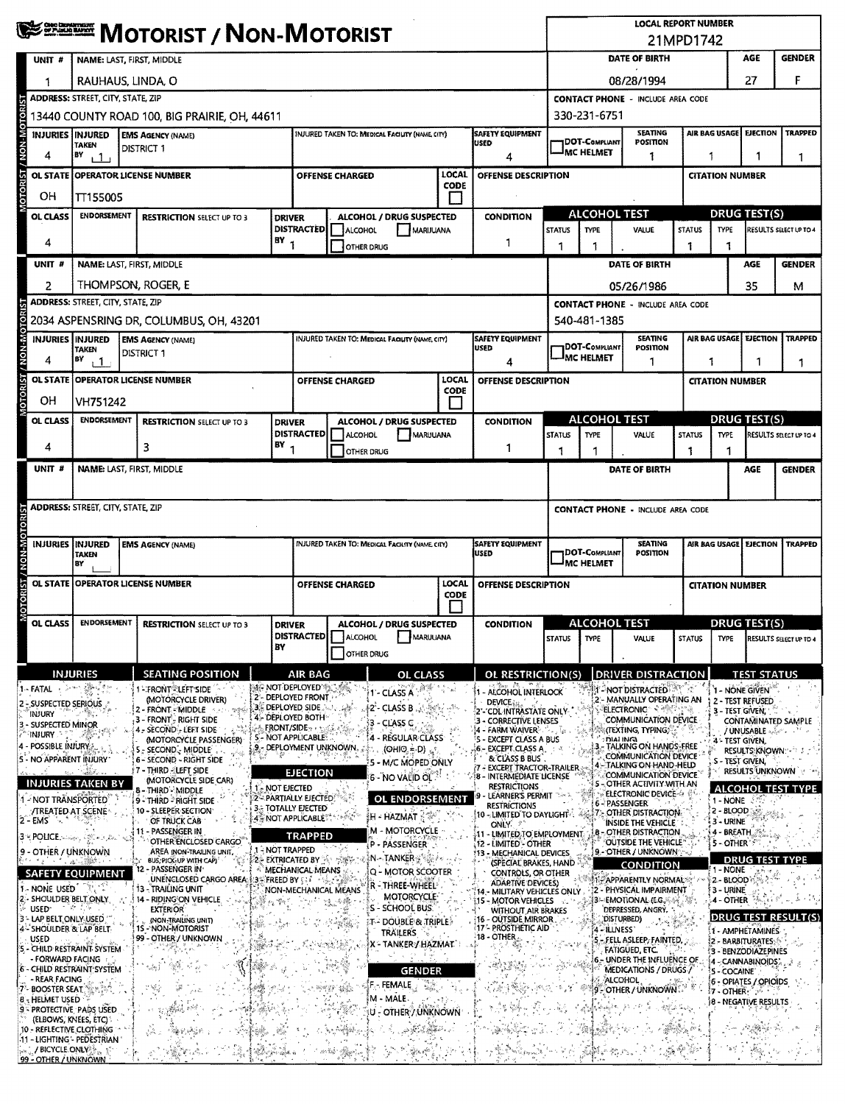|                                                        | <b>WE DESCRIPT / NON-MOTORIST</b>                      |                                                                           |                |                                                                  |                                     |                                                      |                     |                                                                                                            |                                                                 | <b>LOCAL REPORT NUMBER</b><br>21MPD1742  |                                                                                    |                     |                                                    |                                                         |                                    |  |
|--------------------------------------------------------|--------------------------------------------------------|---------------------------------------------------------------------------|----------------|------------------------------------------------------------------|-------------------------------------|------------------------------------------------------|---------------------|------------------------------------------------------------------------------------------------------------|-----------------------------------------------------------------|------------------------------------------|------------------------------------------------------------------------------------|---------------------|----------------------------------------------------|---------------------------------------------------------|------------------------------------|--|
| UNIT #                                                 | NAME: LAST, FIRST, MIDDLE                              |                                                                           |                |                                                                  |                                     |                                                      |                     |                                                                                                            |                                                                 |                                          | DATE OF BIRTH                                                                      |                     |                                                    | AGE                                                     | <b>GENDER</b>                      |  |
|                                                        | RAUHAUS, LINDA, O                                      |                                                                           |                |                                                                  |                                     |                                                      |                     |                                                                                                            | F<br>27<br>08/28/1994                                           |                                          |                                                                                    |                     |                                                    |                                                         |                                    |  |
|                                                        | <b>ADDRESS: STREET, CITY, STATE, ZIP</b>               |                                                                           |                |                                                                  |                                     |                                                      |                     |                                                                                                            |                                                                 | <b>CONTACT PHONE - INCLUDE AREA CODE</b> |                                                                                    |                     |                                                    |                                                         |                                    |  |
| <b>MON-MOTOR</b>                                       | 13440 COUNTY ROAD 100, BIG PRAIRIE, OH, 44611          |                                                                           |                |                                                                  |                                     |                                                      |                     |                                                                                                            | 330-231-6751<br><b>TRAPPED</b>                                  |                                          |                                                                                    |                     |                                                    |                                                         |                                    |  |
| <b>INJURIES INJURED</b>                                | <b>EMS AGENCY (NAME)</b><br>TAKEN<br><b>DISTRICT 1</b> |                                                                           |                |                                                                  |                                     | INJURED TAKEN TO: MEDICAL FACIUTY (NAME CITY)        |                     | <b>SAFETY EQUIPMENT</b><br><b>USED</b>                                                                     |                                                                 | <b>JDOT-COMPLIANT</b>                    | <b>SEATING</b><br>POSITION                                                         |                     | AIR BAG USAGE<br><b>EJECTION</b>                   |                                                         |                                    |  |
| 4                                                      | BY<br>டி<br><b>OPERATOR LICENSE NUMBER</b>             |                                                                           |                |                                                                  |                                     |                                                      | LOCAL               | 4<br>OFFENSE DESCRIPTION                                                                                   | IMC HELMET<br>1                                                 |                                          |                                                                                    |                     | 1<br>1<br>1                                        |                                                         |                                    |  |
| <b>OTORIST</b><br><b>OL STATE</b><br>OН                |                                                        |                                                                           |                |                                                                  | <b>OFFENSE CHARGED</b>              |                                                      | <b>CODE</b>         |                                                                                                            |                                                                 |                                          |                                                                                    |                     | <b>CITATION NUMBER</b>                             |                                                         |                                    |  |
| OL CLASS                                               | TT155005<br><b>ENDORSEMENT</b>                         |                                                                           |                |                                                                  |                                     | ALCOHOL / DRUG SUSPECTED                             |                     | <b>CONDITION</b>                                                                                           | <b>ALCOHOL TEST</b>                                             |                                          |                                                                                    |                     | DRUG TEST(S)                                       |                                                         |                                    |  |
|                                                        | <b>RESTRICTION SELECT UP TO 3</b><br><b>DRIVER</b>     |                                                                           |                | <b>DISTRACTED</b><br>ALCOHOL<br>MARIJUANA                        |                                     |                                                      | <b>STATUS</b>       | <b>TYPE</b>                                                                                                | VALUE                                                           | <b>STATUS</b>                            | <b>TYPE</b>                                                                        |                     | RESULTS SELECT UP TO 4                             |                                                         |                                    |  |
| 4                                                      | $18Y$ <sub>1</sub>                                     |                                                                           |                |                                                                  | OTHER DRUG                          |                                                      |                     | 1                                                                                                          | 1                                                               |                                          |                                                                                    |                     |                                                    |                                                         |                                    |  |
| UNIT #                                                 |                                                        | NAME: LAST, FIRST, MIDDLE                                                 |                |                                                                  |                                     |                                                      |                     |                                                                                                            |                                                                 |                                          | DATE OF BIRTH                                                                      |                     |                                                    | AGE                                                     | <b>GENDER</b>                      |  |
| 2                                                      | ADDRESS: STREET, CITY, STATE, ZIP                      | Thompson, Roger, E                                                        |                |                                                                  |                                     |                                                      |                     |                                                                                                            |                                                                 |                                          | 05/26/1986<br><b>CONTACT PHONE - INCLUDE AREA CODE</b>                             |                     |                                                    | 35                                                      | м                                  |  |
| <b>NON-MOTORIST</b>                                    |                                                        | 2034 ASPENSRING DR, COLUMBUS, OH, 43201                                   |                |                                                                  |                                     |                                                      |                     |                                                                                                            |                                                                 | 540-481-1385                             |                                                                                    |                     |                                                    |                                                         |                                    |  |
| <b>INJURIES INJURED</b>                                |                                                        | <b>EMS AGENCY (NAME)</b>                                                  |                |                                                                  |                                     | INJURED TAKEN TO: MEDICAL FACILITY (NAME, CITY)      |                     | <b>SAFETY EQUIPMENT</b><br><b>USED</b>                                                                     |                                                                 | DOT-COMPLIANT                            | <b>SEATING</b><br>POSITION                                                         |                     |                                                    | AIR BAG USAGE EJECTION                                  | <b>TRAPPED</b>                     |  |
| 4                                                      | <b>TAKEN</b><br>BY<br>$+1$                             | <b>DISTRICT 1</b>                                                         |                |                                                                  |                                     |                                                      |                     | 4                                                                                                          |                                                                 | <sup>J</sup> MC HELMET                   | 1                                                                                  |                     | 1                                                  |                                                         | 1                                  |  |
| <b>OTORIST</b><br><b>OL STATE</b>                      |                                                        | <b>OPERATOR LICENSE NUMBER</b>                                            |                |                                                                  | OFFENSE CHARGED                     |                                                      | LOCAL<br>CODE       | OFFENSE DESCRIPTION                                                                                        |                                                                 |                                          |                                                                                    |                     | <b>CITATION NUMBER</b>                             |                                                         |                                    |  |
| OH                                                     | VH751242                                               |                                                                           |                |                                                                  |                                     |                                                      |                     |                                                                                                            |                                                                 |                                          |                                                                                    |                     |                                                    |                                                         |                                    |  |
| OL CLASS                                               | <b>ENDORSEMENT</b>                                     | <b>RESTRICTION SELECT UP TO 3</b>                                         | <b>DRIVER</b>  | <b>DISTRACTED</b>                                                |                                     | ALCOHOL / DRUG SUSPECTED                             |                     | <b>CONDITION</b>                                                                                           |                                                                 | <b>ALCOHOL TEST</b>                      |                                                                                    |                     |                                                    | DRUG TEST(S)                                            |                                    |  |
| 4                                                      |                                                        | 3                                                                         | $BY_1$         |                                                                  | <b>ALCOHOL</b><br><b>OTHER DRUG</b> | MARUUANA                                             |                     | 1                                                                                                          | <b>STATUS</b><br>1                                              | TYPE<br>1                                | VALUE                                                                              | <b>STATUS</b><br>1  | <b>TYPE</b><br>1                                   |                                                         | RESULTS SELECT UP TO 4             |  |
| UNIT#                                                  |                                                        | NAME: LAST, FIRST, MIDDLE                                                 |                |                                                                  |                                     |                                                      |                     |                                                                                                            | DATE OF BIRTH<br>AGE                                            |                                          |                                                                                    |                     |                                                    | <b>GENDER</b>                                           |                                    |  |
|                                                        |                                                        |                                                                           |                |                                                                  |                                     |                                                      |                     |                                                                                                            |                                                                 |                                          |                                                                                    |                     |                                                    |                                                         |                                    |  |
|                                                        | <b>ADDRESS: STREET, CITY, STATE, ZIP</b>               |                                                                           |                |                                                                  |                                     |                                                      |                     |                                                                                                            | <b>CONTACT PHONE - INCLUDE AREA CODE</b>                        |                                          |                                                                                    |                     |                                                    |                                                         |                                    |  |
|                                                        |                                                        |                                                                           |                |                                                                  |                                     |                                                      |                     |                                                                                                            |                                                                 |                                          |                                                                                    |                     |                                                    |                                                         |                                    |  |
| <b>INJURIES</b>                                        | <b>INJURED</b><br><b>TAKEN</b><br>BY                   | <b>EMS AGENCY (NAME)</b>                                                  |                |                                                                  |                                     | <b>INJURED TAKEN TO: MEDICAL FACHITY (NAME CITY)</b> |                     | <b>SAFETY EQUIPMENT</b><br>USED                                                                            | <b>SEATING</b><br>DOT-COMPLIANT<br><b>POSITION</b><br>MC HELMET |                                          |                                                                                    |                     | AIR BAG USAGE<br><b>EJECTION</b><br><b>TRAPPED</b> |                                                         |                                    |  |
| <b>OL STATE</b>                                        |                                                        | <b>OPERATOR LICENSE NUMBER</b>                                            |                | LOCAL<br><b>OFFENSE CHARGED</b>                                  |                                     |                                                      | OFFENSE DESCRIPTION |                                                                                                            |                                                                 |                                          | <b>CITATION NUMBER</b>                                                             |                     |                                                    |                                                         |                                    |  |
| MOTORIST / NON-MOTOR                                   |                                                        |                                                                           |                | <b>CODE</b>                                                      |                                     |                                                      |                     |                                                                                                            |                                                                 |                                          |                                                                                    |                     |                                                    |                                                         |                                    |  |
| OL CLASS                                               | <b>ENDORSEMENT</b>                                     | <b>RESTRICTION SELECT UP TO 3</b>                                         | <b>DRIVER</b>  | ALCOHOL / DRUG SUSPECTED                                         |                                     |                                                      | <b>CONDITION</b>    | <b>ALCOHOL TEST</b>                                                                                        |                                                                 |                                          |                                                                                    | <b>DRUG TEST(S)</b> |                                                    |                                                         |                                    |  |
|                                                        |                                                        |                                                                           | BY             |                                                                  | <b>OTHER DRUG</b>                   | DISTRACTED ALCOHOL MARIJUANA                         |                     |                                                                                                            |                                                                 |                                          | STATUS TYPE VALUE                                                                  |                     |                                                    |                                                         | STATUS TYPE RESULTS SELECT UP TO 4 |  |
|                                                        | <b>INJURIES</b>                                        | <b>SEATING POSITION</b>                                                   |                | AIR BAG                                                          |                                     | <b>OL CLASS</b>                                      |                     | OL RESTRICTION(S)                                                                                          |                                                                 |                                          | <b>DRIVER DISTRACTION</b>                                                          |                     |                                                    |                                                         |                                    |  |
| 1 - FATAL                                              | ういく 遊んす                                                | <b>EFRONT LEFT SIDE</b>                                                   |                | <b>MARINOT DEPLOYED AND ARE</b>                                  |                                     | 1 - CLASS A                                          |                     | - ALCOHOL INTERLOCK                                                                                        |                                                                 |                                          | T-NOT DISTRACTED                                                                   |                     |                                                    | <b>TEST STATUS</b><br>1 - NONE GIVEN                    |                                    |  |
| 2 - SUSPECTED SERIOUS<br>INJURY                        |                                                        | (MOTORCYCLE DRIVER)<br>2 - FRONT = MIDDLE                                 |                | 2'- DEPLOYED FRONT<br>$3.5$ DEPLOYED SIDE $3.36$                 |                                     | (2' - CLASS B                                        |                     | DEVICE iss.<br>2'- CDL INTRASTATE ONLY                                                                     |                                                                 |                                          | 2 - MANUALLY OPERATING AN<br><b>ELECTRONIC</b> < < < < <                           |                     | 3 - TEST GIVEN,                                    | 2 - TEST REFUSED                                        |                                    |  |
| 3 - SUSPECTED MINOR<br>INJURY                          |                                                        | 3 - FRONT <sup>5</sup> RIGHT SIDE<br>- SECOND - LEFT SIDE                 |                | 4 - DEPLOYED BOTH<br>A FRONT/SIDE - 1966.<br>5 - NOT APPLICABLE: |                                     | - CLASS C<br>4 - REGULAR CLASS                       |                     | 3 - CORRECTIVE LENSES<br><b>4 - FARM WAIVER</b>                                                            |                                                                 |                                          | <b>COMMUNICATION DEVICE</b><br>(Texting, Typing)?                                  |                     |                                                    | / UNUSABLE and me                                       | <b>CONTAMINATED SAMPLE</b>         |  |
| 4 - POSSIBLE INJURY.<br>5 - NO APPARENT INJURY         |                                                        | (MOTORCYCLE PASSENGER)<br>5 - SECOND - MIDDLE                             |                | 9. - DEPLOYMENT UNKNOWN.                                         |                                     | (OHIO, = D)                                          |                     | 5 - EXCEPT CLASS A BUS<br>16 - EXCEPT CLASS A<br>& CLASS B BUS                                             |                                                                 |                                          | DIAI ING)<br>- TALKING ON HANDS-FREE<br>COMMUNICATION DEVICE                       |                     | 4 - TEST GIVEN,                                    | <b>RESULTS KNOWN: 49 3</b>                              |                                    |  |
|                                                        |                                                        | 6 - SECOND - RIGHT SIDE<br>7 - THIRD - LEFT SIDE<br>(MOTORCYCLE SIDE CAR) |                | <b>EJECTION</b>                                                  |                                     | 5 - M/C MOPED ONLY<br>$6$ - NO VALID OL $^{\circ}$   |                     | - EXCEPT TRACTOR-TRAILER<br><b>B - INTERMEDIATE LICENSE</b>                                                |                                                                 |                                          | 4 - TALKING ON HAND-HELD<br>COMMUNICATION DEVICE.                                  |                     | S - TEST GIVEN,                                    | <b>RESULTS UNKNOWN</b>                                  |                                    |  |
| 1 - NOT TRANSPORTED                                    | <b>INJURIES TAKEN BY</b>                               | 8 - Third - Middle<br>9 - THIRD - RIGHT SIDE                              | 1- NOT EJECTED | 2 - PARTIALLY EJECTED:                                           |                                     | <b>OL ENDORSEMENT</b>                                |                     | <b>RESTRICTIONS</b><br>LEARNER'S PERMIT                                                                    |                                                                 |                                          | 5 - OTHER ACTIVITY WITH AN<br>ELECTRONIC DEVICE-4                                  |                     | $1 - NONE$                                         |                                                         | <b>ALCOHOL TEST TYPE</b>           |  |
| <b>/TREATED AT SCENE</b><br>2 - EMS                    |                                                        | 10 - SLEEPER SECTION<br>OF TRUCK CAB                                      |                | <b>3. TOTALLY EJECTED</b><br>4 NOT APPLICABLE                    |                                     | ∰∹HAZMAT ☆♡                                          |                     | <b>RESTRICTIONS</b><br>10 - LIMITED TO DAYLIGHT                                                            |                                                                 |                                          | 6 - PASSENGER<br>7 - OTHER DISTRACTION.<br>INSIDE THE VEHICLE                      |                     | 2 - BLOOD<br>3 - URINE                             |                                                         |                                    |  |
|                                                        |                                                        | 11 - PASSENGER IN<br>OTHER ENCLOSED CARGO                                 |                | <b>TRAPPED</b>                                                   |                                     | <b>M - MOTORCYCLE</b><br>P - PASSENGER               |                     | ONLY 7<br>11 - LIMITED TO EMPLOYMENT.<br>12 - LIMITED - OTHER                                              |                                                                 |                                          | <b>8 - OTHER DISTRACTION</b><br>OUTSIDE THE VEHICLE <sup>®</sup>                   |                     | 4 - BREATH.<br>5-OTHER's                           |                                                         |                                    |  |
| 9 - OTHER / UNKNOWN                                    | - 東京都府                                                 | AREA (NON-TRAILING UNIT,<br>BUS, PICK-UP WITH CAPI"                       | 1-NOT TRAPPED  |                                                                  | 20 EXTRICATED BY A " 快搬" - *        | ⊱N∽TANKER∯®@∂                                        |                     | <b>13 - MECHANICAL DEVICES</b><br>(SPECIAL BRAKES, HAND                                                    |                                                                 |                                          | 9 - OTHER / UNKNOWN<br><b>CONDITION</b>                                            |                     |                                                    | <b>DRUG TEST TYPE</b>                                   |                                    |  |
|                                                        | SAFETY EQUIPMENT                                       | 12 - PASSENGER IN <sup>.</sup><br>UNENCLOSED CARGO AREA:                  |                | MECHANICAL MEANS<br>≸:3% FREED BY ୧୧୬ - ବର୍                      |                                     | Q - MOTOR SCOOTER<br>R - THREE-WHEEL                 |                     | CONTROLS, OR OTHER<br><b>ADARTIVE DEVICES)</b>                                                             |                                                                 |                                          | 1- APPARENTLY NORMAL                                                               |                     | 1 - NONE<br>2 - BLOOD                              |                                                         |                                    |  |
| 1 - NONE USED<br>2 - SHOULDER BELT ONLY<br><b>USED</b> | X.<br>こめ こう                                            | 13 - TRAILING UNIT<br>14 - RIDING ON VEHICLE                              |                |                                                                  | NON-MECHANICAL MEANS                | MOTORCYCLE <sup>2</sup><br>S - SCHOOL BUS.           |                     | 14 - MILITARY VEHICLES ONLY<br>15 - MOTOR VEHICLES                                                         |                                                                 |                                          | 2 - PHYSICAL IMPAIRMENT<br>B≔EMOTIONAL (EG.‰‰ ി%                                   |                     | 3 - URINE<br>4 - OTHER                             |                                                         |                                    |  |
| 3 - LAP BELT ONLY-USED<br>4 - SHOULDER & LAP BELT      |                                                        | <b>EXTERIOR</b><br>(NON-TRAILING UNIT)<br>1S-NON-MOTORIST                 |                |                                                                  | $\lambda_{\rm R} \beta_{\rm S}$     | <b>IT- DOUBLE &amp; TRIPLE</b>                       |                     | DEPRESSED, ANGRY,<br><b>WITHOUT AIR BRAKES</b><br>16 - OUTSIDE MIRROR<br>DISTURBED)<br>17 - PROSTHETIC AID |                                                                 |                                          |                                                                                    | DRUG TEST RESULT(S) |                                                    |                                                         |                                    |  |
| <b>USED</b><br>5 - CHILD RESTRAINT SYSTEM              |                                                        | 99 - OTHER / UNKNOWN                                                      |                |                                                                  | 98 F.                               | TRAILERS<br>Χ - ΤΑΝΚΕΡ / ΗΑΖΜΑΤ΄                     |                     | $18 -$ OTHER                                                                                               |                                                                 | 4 - ILLNESS'<br>- FELL ASLEEP, FAINTED,  |                                                                                    |                     |                                                    | 1 - AMPHETAMINES<br>2 - BARBITURATES &                  |                                    |  |
| - FORWARD FACING<br>6 - CHILD RESTRAINT SYSTEM         |                                                        |                                                                           |                |                                                                  |                                     | <b>GENDER</b>                                        |                     |                                                                                                            |                                                                 |                                          | <b>FATIGUED, ETC.</b><br><b>6. UNDER THE INFLUENCE OF</b><br>MEDICATIONS / DRUGS / |                     |                                                    | 3 - BENZODIAZEPINES<br>4 - CANNABINOIDS"<br>5 - COCAINE |                                    |  |
| - REAR FACING<br><b>BOOSTER SEAT</b>                   |                                                        |                                                                           |                |                                                                  | 网络黑糖                                | na<br>Ma<br>F - FEMALE                               |                     |                                                                                                            |                                                                 | 19.                                      | <b>ALCOHOL</b><br><b>Fother/Unknown</b>                                            |                     | $17 - \text{OHER}$                                 | 6 - OPIATES / OPIOIDS                                   |                                    |  |
| 8 - HELMET USED<br>9 - PROTECTIVE PADS USED            |                                                        |                                                                           |                |                                                                  |                                     | M - MALE<br>U - OTHER / UNKNOWN                      |                     |                                                                                                            |                                                                 |                                          |                                                                                    |                     |                                                    | 8 - NEGATIVE RESULTS                                    |                                    |  |
| 10 - REFLECTIVE CLOTHING                               | (ELBOWS, KNEES, ETC)                                   | A.                                                                        |                |                                                                  |                                     |                                                      |                     |                                                                                                            |                                                                 |                                          |                                                                                    |                     |                                                    |                                                         |                                    |  |
| -11 - LIGHTING - PEDESTRIAN                            | /BICYCLE.ONLY                                          |                                                                           |                |                                                                  |                                     |                                                      |                     |                                                                                                            |                                                                 |                                          |                                                                                    |                     |                                                    |                                                         |                                    |  |
| 99 - OTHER / UNKNOWN                                   |                                                        |                                                                           |                |                                                                  |                                     |                                                      |                     |                                                                                                            |                                                                 |                                          |                                                                                    |                     |                                                    |                                                         |                                    |  |